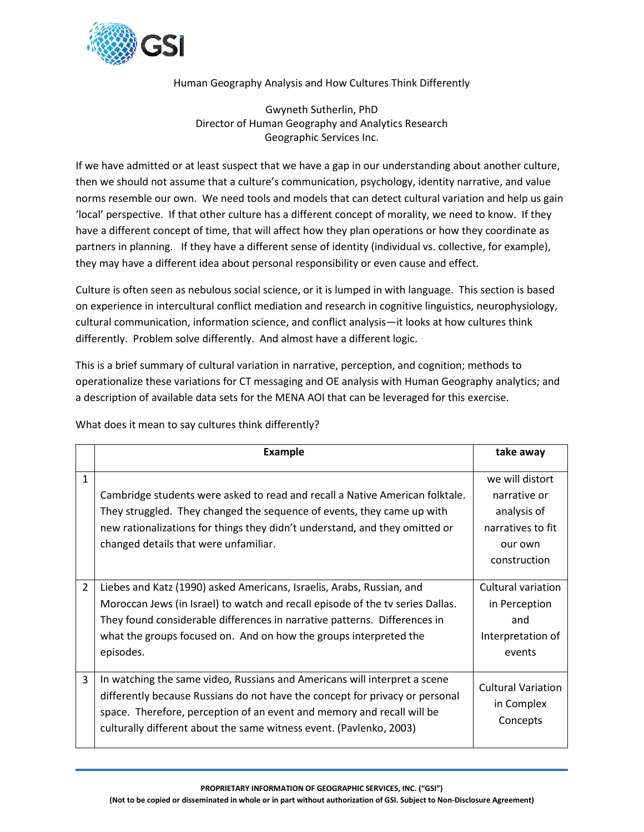

## Human Geography Analysis and How Cultures Think Differently

Gwyneth Sutherlin, PhD Director of Human Geography and Analytics Research Geographic Services Inc.

If we have admitted or at least suspect that we have a gap in our understanding about another culture, then we should not assume that a culture's communication, psychology, identity narrative, and value norms resemble our own. We need tools and models that can detect cultural variation and help us gain 'local' perspective. If that other culture has a different concept of morality, we need to know. If they have a different concept of time, that will affect how they plan operations or how they coordinate as partners in planning. If they have a different sense of identity (individual vs. collective, for example), they may have a different idea about personal responsibility or even cause and effect.

Culture is often seen as nebulous social science, or it is lumped in with language. This section is based on experience in intercultural conflict mediation and research in cognitive linguistics, neurophysiology, cultural communication, information science, and conflict analysis—it looks at how cultures think differently. Problem solve differently. And almost have a different logic.

This is a brief summary of cultural variation in narrative, perception, and cognition; methods to operationalize these variations for CT messaging and OE analysis with Human Geography analytics; and a description of available data sets for the MENA AOI that can be leveraged for this exercise.

|                | <b>Example</b>                                                                                                                                                                                                                                                                                                         | take away                                                                                      |
|----------------|------------------------------------------------------------------------------------------------------------------------------------------------------------------------------------------------------------------------------------------------------------------------------------------------------------------------|------------------------------------------------------------------------------------------------|
| $\mathbf{1}$   | Cambridge students were asked to read and recall a Native American folktale.<br>They struggled. They changed the sequence of events, they came up with<br>new rationalizations for things they didn't understand, and they omitted or<br>changed details that were unfamiliar.                                         | we will distort<br>narrative or<br>analysis of<br>narratives to fit<br>our own<br>construction |
| $\overline{2}$ | Liebes and Katz (1990) asked Americans, Israelis, Arabs, Russian, and<br>Moroccan Jews (in Israel) to watch and recall episode of the tv series Dallas.<br>They found considerable differences in narrative patterns. Differences in<br>what the groups focused on. And on how the groups interpreted the<br>episodes. | Cultural variation<br>in Perception<br>and<br>Interpretation of<br>events                      |
| 3              | In watching the same video, Russians and Americans will interpret a scene<br>differently because Russians do not have the concept for privacy or personal<br>space. Therefore, perception of an event and memory and recall will be<br>culturally different about the same witness event. (Pavlenko, 2003)             | <b>Cultural Variation</b><br>in Complex<br>Concepts                                            |

What does it mean to say cultures think differently?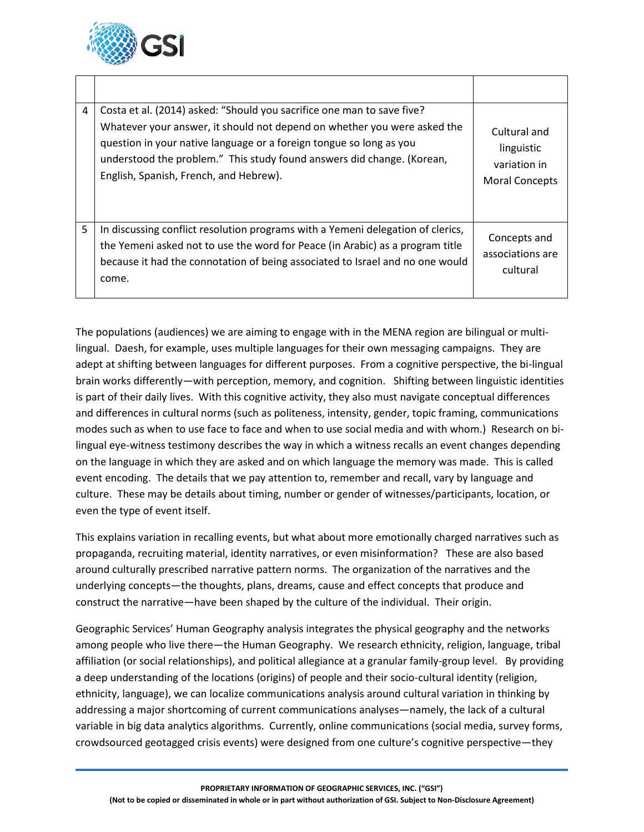

| 4 | Costa et al. (2014) asked: "Should you sacrifice one man to save five?<br>Whatever your answer, it should not depend on whether you were asked the<br>question in your native language or a foreign tongue so long as you<br>understood the problem." This study found answers did change. (Korean,<br>English, Spanish, French, and Hebrew). | Cultural and<br>linguistic<br>variation in<br><b>Moral Concepts</b> |
|---|-----------------------------------------------------------------------------------------------------------------------------------------------------------------------------------------------------------------------------------------------------------------------------------------------------------------------------------------------|---------------------------------------------------------------------|
| 5 | In discussing conflict resolution programs with a Yemeni delegation of clerics,<br>the Yemeni asked not to use the word for Peace (in Arabic) as a program title<br>because it had the connotation of being associated to Israel and no one would<br>come.                                                                                    | Concepts and<br>associations are<br>cultural                        |

The populations (audiences) we are aiming to engage with in the MENA region are bilingual or multilingual. Daesh, for example, uses multiple languages for their own messaging campaigns. They are adept at shifting between languages for different purposes. From a cognitive perspective, the bi-lingual brain works differently—with perception, memory, and cognition. Shifting between linguistic identities is part of their daily lives. With this cognitive activity, they also must navigate conceptual differences and differences in cultural norms (such as politeness, intensity, gender, topic framing, communications modes such as when to use face to face and when to use social media and with whom.) Research on bilingual eye-witness testimony describes the way in which a witness recalls an event changes depending on the language in which they are asked and on which language the memory was made. This is called event encoding. The details that we pay attention to, remember and recall, vary by language and culture. These may be details about timing, number or gender of witnesses/participants, location, or even the type of event itself.

This explains variation in recalling events, but what about more emotionally charged narratives such as propaganda, recruiting material, identity narratives, or even misinformation? These are also based around culturally prescribed narrative pattern norms. The organization of the narratives and the underlying concepts—the thoughts, plans, dreams, cause and effect concepts that produce and construct the narrative—have been shaped by the culture of the individual. Their origin.

Geographic Services' Human Geography analysis integrates the physical geography and the networks among people who live there—the Human Geography. We research ethnicity, religion, language, tribal affiliation (or social relationships), and political allegiance at a granular family-group level. By providing a deep understanding of the locations (origins) of people and their socio-cultural identity (religion, ethnicity, language), we can localize communications analysis around cultural variation in thinking by addressing a major shortcoming of current communications analyses—namely, the lack of a cultural variable in big data analytics algorithms. Currently, online communications (social media, survey forms, crowdsourced geotagged crisis events) were designed from one culture's cognitive perspective—they